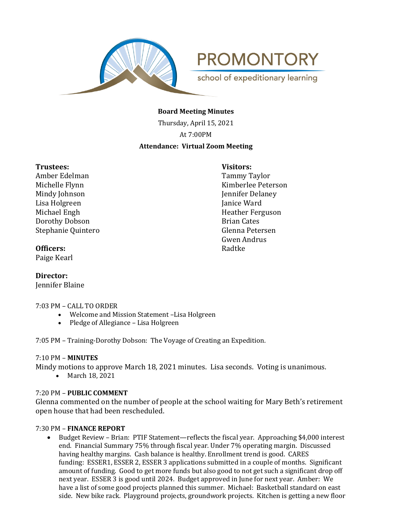

**PROMONTORY** school of expeditionary learning

**Board Meeting Minutes**

Thursday, April 15, 2021 At 7:00PM **Attendance: Virtual Zoom Meeting**

# **Trustees: Visitors:**

Amber Edelman Tammy Taylor Mindy Johnson **Jennifer Delaney** Lisa Holgreen Janice Ward Michael Engh **Heather Ferguson Dorothy Dobson** Brian Cates Stephanie Quintero Glenna Petersen

Michelle Flynn **Kimberlee Peterson** Gwen Andrus

# **Officers:** Radtke

Paige Kearl

# **Director:**

Jennifer Blaine

# 7:03 PM – CALL TO ORDER

- Welcome and Mission Statement –Lisa Holgreen
- Pledge of Allegiance Lisa Holgreen

7:05 PM – Training-Dorothy Dobson: The Voyage of Creating an Expedition.

# 7:10 PM – **MINUTES**

Mindy motions to approve March 18, 2021 minutes. Lisa seconds. Voting is unanimous.

• March 18, 2021

# 7:20 PM – **PUBLIC COMMENT**

Glenna commented on the number of people at the school waiting for Mary Beth's retirement open house that had been rescheduled.

# 7:30 PM – **FINANCE REPORT**

• Budget Review – Brian: PTIF Statement—reflects the fiscal year. Approaching \$4,000 interest end. Financial Summary 75% through fiscal year. Under 7% operating margin. Discussed having healthy margins. Cash balance is healthy. Enrollment trend is good. CARES funding: ESSER1, ESSER 2, ESSER 3 applications submitted in a couple of months. Significant amount of funding. Good to get more funds but also good to not get such a significant drop off next year. ESSER 3 is good until 2024. Budget approved in June for next year. Amber: We have a list of some good projects planned this summer. Michael: Basketball standard on east side. New bike rack. Playground projects, groundwork projects. Kitchen is getting a new floor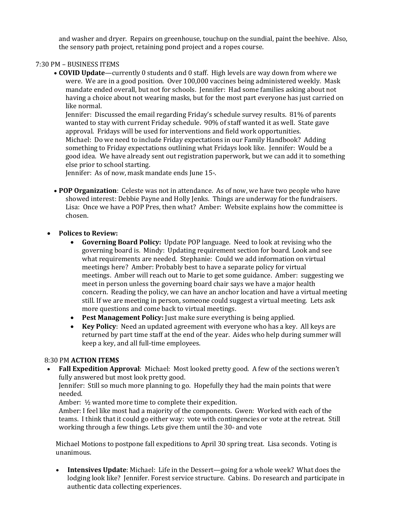and washer and dryer. Repairs on greenhouse, touchup on the sundial, paint the beehive. Also, the sensory path project, retaining pond project and a ropes course.

# 7:30 PM – BUSINESS ITEMS

• **COVID Update**—currently 0 students and 0 staff. High levels are way down from where we were. We are in a good position. Over 100,000 vaccines being administered weekly. Mask mandate ended overall, but not for schools. Jennifer: Had some families asking about not having a choice about not wearing masks, but for the most part everyone has just carried on like normal.

Jennifer: Discussed the email regarding Friday's schedule survey results. 81% of parents wanted to stay with current Friday schedule. 90% of staff wanted it as well. State gave approval. Fridays will be used for interventions and field work opportunities. Michael: Do we need to include Friday expectations in our Family Handbook? Adding something to Friday expectations outlining what Fridays look like. Jennifer: Would be a good idea. We have already sent out registration paperwork, but we can add it to something else prior to school starting.

Jennifer: As of now, mask mandate ends June 15<sup>th</sup>.

• **POP Organization**: Celeste was not in attendance. As of now, we have two people who have showed interest: Debbie Payne and Holly Jenks. Things are underway for the fundraisers. Lisa: Once we have a POP Pres, then what? Amber: Website explains how the committee is chosen.

# • **Polices to Review:**

- **Governing Board Policy:** Update POP language. Need to look at revising who the governing board is. Mindy: Updating requirement section for board. Look and see what requirements are needed. Stephanie: Could we add information on virtual meetings here? Amber: Probably best to have a separate policy for virtual meetings. Amber will reach out to Marie to get some guidance. Amber: suggesting we meet in person unless the governing board chair says we have a major health concern. Reading the policy, we can have an anchor location and have a virtual meeting still. If we are meeting in person, someone could suggest a virtual meeting. Lets ask more questions and come back to virtual meetings.
- **Pest Management Policy:** Just make sure everything is being applied.
- **Key Policy**: Need an updated agreement with everyone who has a key. All keys are returned by part time staff at the end of the year. Aides who help during summer will keep a key, and all full-time employees.

# 8:30 PM **ACTION ITEMS**

• **Fall Expedition Approval**: Michael: Most looked pretty good. A few of the sections weren't fully answered but most look pretty good.

Jennifer: Still so much more planning to go. Hopefully they had the main points that were needed.

Amber: ½ wanted more time to complete their expedition.

Amber: I feel like most had a majority of the components. Gwen: Worked with each of the teams. I think that it could go either way: vote with contingencies or vote at the retreat. Still working through a few things. Lets give them until the  $30<sup>th</sup>$  and vote

Michael Motions to postpone fall expeditions to April 30 spring treat. Lisa seconds. Voting is unanimous.

• **Intensives Update**: Michael: Life in the Dessert—going for a whole week? What does the lodging look like? Jennifer. Forest service structure. Cabins. Do research and participate in authentic data collecting experiences.